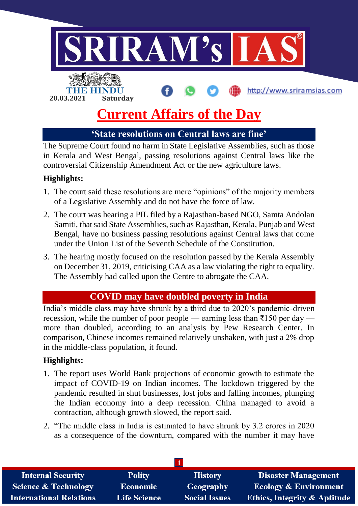

## **'State resolutions on Central laws are fine'**

The Supreme Court found no harm in State Legislative Assemblies, such as those in Kerala and West Bengal, passing resolutions against Central laws like the controversial Citizenship Amendment Act or the new agriculture laws.

## **Highlights:**

- 1. The court said these resolutions are mere "opinions" of the majority members of a Legislative Assembly and do not have the force of law.
- 2. The court was hearing a PIL filed by a Rajasthan-based NGO, Samta Andolan Samiti, that said State Assemblies, such as Rajasthan, Kerala, Punjab and West Bengal, have no business passing resolutions against Central laws that come under the Union List of the Seventh Schedule of the Constitution.
- 3. The hearing mostly focused on the resolution passed by the Kerala Assembly on December 31, 2019, criticising CAA as a law violating the right to equality. The Assembly had called upon the Centre to abrogate the CAA.

# **COVID may have doubled poverty in India**

India's middle class may have shrunk by a third due to 2020's pandemic-driven recession, while the number of poor people — earning less than  $\overline{3}150$  per day more than doubled, according to an analysis by Pew Research Center. In comparison, Chinese incomes remained relatively unshaken, with just a 2% drop in the middle-class population, it found.

#### **Highlights:**

- 1. The report uses World Bank projections of economic growth to estimate the impact of COVID-19 on Indian incomes. The lockdown triggered by the pandemic resulted in shut businesses, lost jobs and falling incomes, plunging the Indian economy into a deep recession. China managed to avoid a contraction, although growth slowed, the report said.
- 2. "The middle class in India is estimated to have shrunk by 3.2 crores in 2020 as a consequence of the downturn, compared with the number it may have

| <b>Internal Security</b>        | <b>Polity</b>       | <b>History</b>       | Disaster Management                     |
|---------------------------------|---------------------|----------------------|-----------------------------------------|
| <b>Science &amp; Technology</b> | <b>Economic</b>     | Geography            | <b>Ecology &amp; Environment</b>        |
| <b>International Relations</b>  | <b>Life Science</b> | <b>Social Issues</b> | <b>Ethics, Integrity &amp; Aptitude</b> |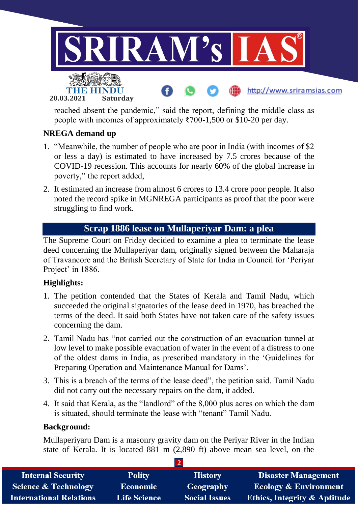

reached absent the pandemic," said the report, defining the middle class as people with incomes of approximately ₹700-1,500 or \$10-20 per day.

### **NREGA demand up**

- 1. "Meanwhile, the number of people who are poor in India (with incomes of \$2 or less a day) is estimated to have increased by 7.5 crores because of the COVID-19 recession. This accounts for nearly 60% of the global increase in poverty," the report added,
- 2. It estimated an increase from almost 6 crores to 13.4 crore poor people. It also noted the record spike in MGNREGA participants as proof that the poor were struggling to find work.

## **Scrap 1886 lease on Mullaperiyar Dam: a plea**

The Supreme Court on Friday decided to examine a plea to terminate the lease deed concerning the Mullaperiyar dam, originally signed between the Maharaja of Travancore and the British Secretary of State for India in Council for 'Periyar Project' in 1886.

## **Highlights:**

- 1. The petition contended that the States of Kerala and Tamil Nadu, which succeeded the original signatories of the lease deed in 1970, has breached the terms of the deed. It said both States have not taken care of the safety issues concerning the dam.
- 2. Tamil Nadu has "not carried out the construction of an evacuation tunnel at low level to make possible evacuation of water in the event of a distress to one of the oldest dams in India, as prescribed mandatory in the 'Guidelines for Preparing Operation and Maintenance Manual for Dams'.
- 3. This is a breach of the terms of the lease deed", the petition said. Tamil Nadu did not carry out the necessary repairs on the dam, it added.
- 4. It said that Kerala, as the "landlord" of the 8,000 plus acres on which the dam is situated, should terminate the lease with "tenant" Tamil Nadu.

#### **Background:**

Mullaperiyaru Dam is a masonry gravity dam on the Periyar River in the Indian state of Kerala. It is located 881 m (2,890 ft) above mean sea level, on the

| <b>Internal Security</b>        | <b>Polity</b>       | <b>History</b>       | Disaster Management                     |
|---------------------------------|---------------------|----------------------|-----------------------------------------|
| <b>Science &amp; Technology</b> | <b>Economic</b>     | Geography            | <b>Ecology &amp; Environment</b>        |
| <b>International Relations</b>  | <b>Life Science</b> | <b>Social Issues</b> | <b>Ethics, Integrity &amp; Aptitude</b> |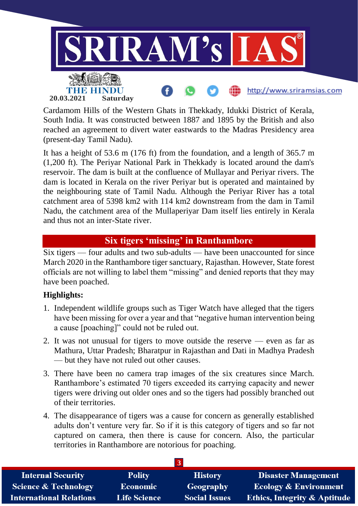

Cardamom Hills of the Western Ghats in Thekkady, Idukki District of Kerala, South India. It was constructed between 1887 and 1895 by the British and also reached an agreement to divert water eastwards to the Madras Presidency area (present-day Tamil Nadu).

It has a height of 53.6 m (176 ft) from the foundation, and a length of 365.7 m (1,200 ft). The Periyar National Park in Thekkady is located around the dam's reservoir. The dam is built at the confluence of Mullayar and Periyar rivers. The dam is located in Kerala on the river Periyar but is operated and maintained by the neighbouring state of Tamil Nadu. Although the Periyar River has a total catchment area of 5398 km2 with 114 km2 downstream from the dam in Tamil Nadu, the catchment area of the Mullaperiyar Dam itself lies entirely in Kerala and thus not an inter-State river.

## **Six tigers 'missing' in Ranthambore**

Six tigers — four adults and two sub-adults — have been unaccounted for since March 2020 in the Ranthambore tiger sanctuary, Rajasthan. However, State forest officials are not willing to label them "missing" and denied reports that they may have been poached.

## **Highlights:**

- 1. Independent wildlife groups such as Tiger Watch have alleged that the tigers have been missing for over a year and that "negative human intervention being a cause [poaching]" could not be ruled out.
- 2. It was not unusual for tigers to move outside the reserve even as far as Mathura, Uttar Pradesh; Bharatpur in Rajasthan and Dati in Madhya Pradesh — but they have not ruled out other causes.
- 3. There have been no camera trap images of the six creatures since March. Ranthambore's estimated 70 tigers exceeded its carrying capacity and newer tigers were driving out older ones and so the tigers had possibly branched out of their territories.
- 4. The disappearance of tigers was a cause for concern as generally established adults don't venture very far. So if it is this category of tigers and so far not captured on camera, then there is cause for concern. Also, the particular territories in Ranthambore are notorious for poaching.

| <b>Internal Security</b>        | <b>Polity</b>       | <b>History</b>       | <b>Disaster Management</b>              |
|---------------------------------|---------------------|----------------------|-----------------------------------------|
| <b>Science &amp; Technology</b> | <b>Economic</b>     | Geography            | <b>Ecology &amp; Environment</b>        |
| <b>International Relations</b>  | <b>Life Science</b> | <b>Social Issues</b> | <b>Ethics, Integrity &amp; Aptitude</b> |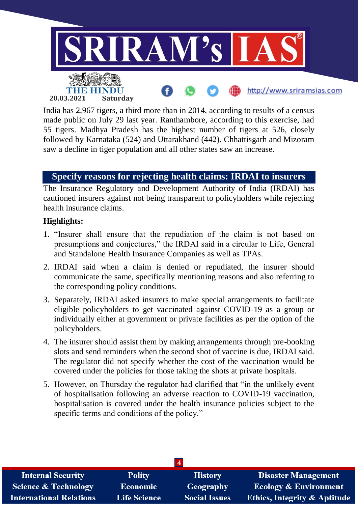

India has 2,967 tigers, a third more than in 2014, according to results of a census made public on July 29 last year. Ranthambore, according to this exercise, had 55 tigers. Madhya Pradesh has the highest number of tigers at 526, closely followed by Karnataka (524) and Uttarakhand (442). Chhattisgarh and Mizoram saw a decline in tiger population and all other states saw an increase.

## **Specify reasons for rejecting health claims: IRDAI to insurers**

The Insurance Regulatory and Development Authority of India (IRDAI) has cautioned insurers against not being transparent to policyholders while rejecting health insurance claims.

### **Highlights:**

- 1. "Insurer shall ensure that the repudiation of the claim is not based on presumptions and conjectures," the IRDAI said in a circular to Life, General and Standalone Health Insurance Companies as well as TPAs.
- 2. IRDAI said when a claim is denied or repudiated, the insurer should communicate the same, specifically mentioning reasons and also referring to the corresponding policy conditions.
- 3. Separately, IRDAI asked insurers to make special arrangements to facilitate eligible policyholders to get vaccinated against COVID-19 as a group or individually either at government or private facilities as per the option of the policyholders.
- 4. The insurer should assist them by making arrangements through pre-booking slots and send reminders when the second shot of vaccine is due, IRDAI said. The regulator did not specify whether the cost of the vaccination would be covered under the policies for those taking the shots at private hospitals.
- 5. However, on Thursday the regulator had clarified that "in the unlikely event of hospitalisation following an adverse reaction to COVID-19 vaccination, hospitalisation is covered under the health insurance policies subject to the specific terms and conditions of the policy."

| <b>Internal Security</b>        | <b>Polity</b>       | <b>History</b>       | <b>Disaster Management</b>              |
|---------------------------------|---------------------|----------------------|-----------------------------------------|
| <b>Science &amp; Technology</b> | <b>Economic</b>     | Geography            | <b>Ecology &amp; Environment</b>        |
| <b>International Relations</b>  | <b>Life Science</b> | <b>Social Issues</b> | <b>Ethics, Integrity &amp; Aptitude</b> |